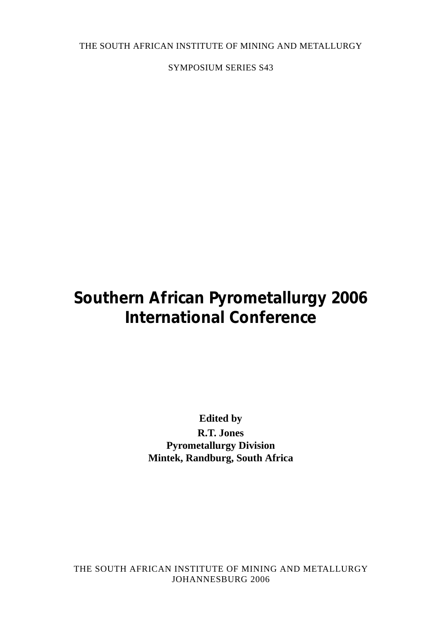THE SOUTH AFRICAN INSTITUTE OF MINING AND METALLURGY

SYMPOSIUM SERIES S43

# **Southern African Pyrometallurgy 2006 International Conference**

**Edited by R.T. Jones Pyrometallurgy Division Mintek, Randburg, South Africa**

THE SOUTH AFRICAN INSTITUTE OF MINING AND METALLURGY JOHANNESBURG 2006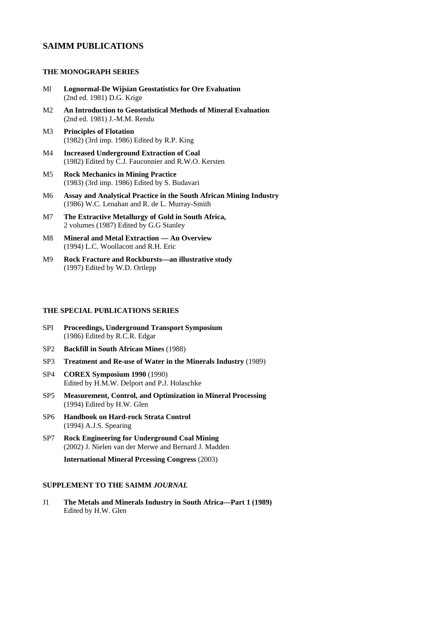# **SAIMM PUBLICATIONS**

# **THE MONOGRAPH SERIES**

- Ml **Lognormal-De Wijsian Geostatistics for Ore Evaluation** (2nd ed. 1981) D.G. Krige
- M2 **An Introduction to Geostatistical Methods of Mineral Evaluation** (2nd ed. 1981) J.-M.M. Rendu
- M3 **Principles of Flotation** (1982) (3rd imp. 1986) Edited by R.P. King
- M4 **Increased Underground Extraction of Coal** (1982) Edited by C.J. Fauconnier and R.W.O. Kersten
- M5 **Rock Mechanics in Mining Practice** (1983) (3rd imp. 1986) Edited by S. Budavari
- M6 **Assay and Analytical Practice in the South African Mining Industry** (1986) W.C. Lenahan and R. de L. Murray-Smith
- M7 **The Extractive Metallurgy of Gold in South Africa,** 2 volumes (1987) Edited by G.G Stanley
- M8 **Mineral and Metal Extraction An Overview** (1994) L.C. Woollacott and R.H. Eric
- M9 **Rock Fracture and Rockbursts—an illustrative study** (1997) Edited by W.D. Ortlepp

#### **THE SPECIAL PUBLICATIONS SERIES**

- SPI **Proceedings, Underground Transport Symposium** (1986) Edited by R.C.R. Edgar
- SP2 **Backfill in South African Mines** (1988)
- SP3 **Treatment and Re-use of Water in the Minerals Industry** (1989)
- SP4 **COREX Symposium 1990** (1990) Edited by H.M.W. Delport and P.J. Holaschke
- SP5 **Measurement, Control, and Optimization in Mineral Processing** (1994) Edited by H.W. Glen
- SP6 **Handbook on Hard-rock Strata Control** (1994) A.J.S. Spearing
- SP7 **Rock Engineering for Underground Coal Mining** (2002) J. Nielen van der Merwe and Bernard J. Madden

**International Mineral Prcessing Congress** (2003)

#### **SUPPLEMENT TO THE SAIMM** *JOURNAL*

J1 **The Metals and Minerals Industry in South Africa—Part 1 (1989)** Edited by H.W. Glen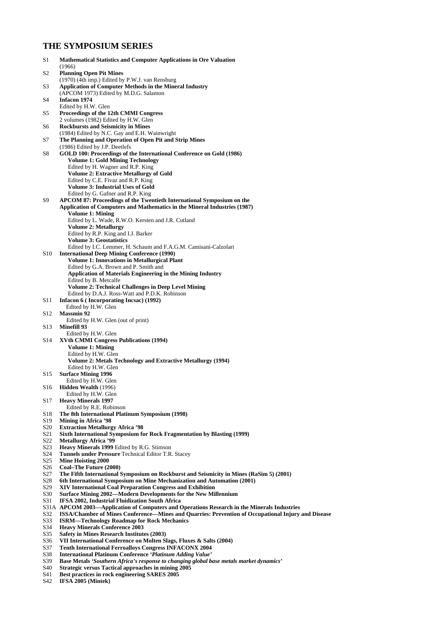# **THE SYMPOSIUM SERIES**

| S1              | <b>Mathematical Statistics and Computer Applications in Ore Valuation</b><br>(1966)                                                                                |
|-----------------|--------------------------------------------------------------------------------------------------------------------------------------------------------------------|
| S2              | <b>Planning Open Pit Mines</b>                                                                                                                                     |
|                 | (1970) (4th imp.) Edited by P.W.J. van Rensburg                                                                                                                    |
| S3              | <b>Application of Computer Methods in the Mineral Industry</b>                                                                                                     |
| S4              | (APCOM 1973) Edited by M.D.G. Salamon<br><b>Infacon 1974</b>                                                                                                       |
|                 | Edited by H.W. Glen                                                                                                                                                |
| S5              | Proceedings of the 12th CMMI Congress                                                                                                                              |
| S6              | 2 volumes (1982) Edited by H.W. Glen<br><b>Rockbursts and Seismicity in Mines</b>                                                                                  |
|                 | (1984) Edited by N.C. Gay and E.H. Wainwright                                                                                                                      |
| S7              | The Planning and Operation of Open Pit and Strip Mines                                                                                                             |
|                 | (1986) Edited by J.P. Deetlefs<br>GOLD 100: Proceedings of the International Conference on Gold (1986)                                                             |
| S8              | <b>Volume 1: Gold Mining Technology</b>                                                                                                                            |
|                 | Edited by H. Wagner and R.P. King                                                                                                                                  |
|                 | <b>Volume 2: Extractive Metallurgy of Gold</b>                                                                                                                     |
|                 | Edited by C.E. Fivaz and R.P. King<br><b>Volume 3: Industrial Uses of Gold</b>                                                                                     |
|                 | Edited by G. Gafner and R.P. King                                                                                                                                  |
| S9              | APCOM 87: Proceedings of the Twentieth International Symposium on the                                                                                              |
|                 | Application of Computers and Mathematics in the Mineral Industries (1987)<br><b>Volume 1: Mining</b>                                                               |
|                 | Edited by L. Wade, R.W.O. Kersten and J.R. Cutland                                                                                                                 |
|                 | <b>Volume 2: Metallurgy</b>                                                                                                                                        |
|                 | Edited by R.P. King and I.J. Barker                                                                                                                                |
|                 | <b>Volume 3: Geostatistics</b><br>Edited by I.C. Lemmer, H. Schaum and F.A.G.M. Camisani-Calzolari                                                                 |
| S <sub>10</sub> | <b>International Deep Mining Conference (1990)</b>                                                                                                                 |
|                 | <b>Volume 1: Innovations in Metallurgical Plant</b>                                                                                                                |
|                 | Edited by G.A. Brown and P. Smith and<br><b>Application of Materials Engineering in the Mining Industry</b>                                                        |
|                 | Edited by B. Metcalfe                                                                                                                                              |
|                 | <b>Volume 2: Technical Challenges in Deep Level Mining</b>                                                                                                         |
| S11             | Edited by D.A.J. Ross-Watt and P.D.K. Robinson<br>Infacon 6 (Incorporating Incsac) (1992)                                                                          |
|                 | Edited by H.W. Glen                                                                                                                                                |
| S12             | <b>Massmin 92</b><br>Edited by H.W. Glen (out of print)                                                                                                            |
| S13             | <b>Minefill 93</b>                                                                                                                                                 |
|                 | Edited by H.W. Glen                                                                                                                                                |
| S <sub>14</sub> | <b>XVth CMMI Congress Publications (1994)</b><br><b>Volume 1: Mining</b>                                                                                           |
|                 | Edited by H.W. Glen                                                                                                                                                |
|                 | <b>Volume 2: Metals Technology and Extractive Metallurgy (1994)</b>                                                                                                |
| S15             | Edited by H.W. Glen<br><b>Surface Mining 1996</b>                                                                                                                  |
|                 | Edited by H.W. Glen                                                                                                                                                |
| S16             | Hidden Wealth (1996)                                                                                                                                               |
| S17             | Edited by H.W. Glen<br><b>Heavy Minerals 1997</b>                                                                                                                  |
|                 | Edited by R.E. Robinson                                                                                                                                            |
| S18             | The 8th International Platinum Symposium (1998)                                                                                                                    |
| S19<br>S20      | <b>Mining in Africa '98</b><br><b>Extraction Metallurgy Africa '98</b>                                                                                             |
| S21             | Sixth International Symposium for Rock Fragmentation by Blasting (1999)                                                                                            |
| S22             | <b>Metallurgy Africa '99</b>                                                                                                                                       |
| S23<br>S24      | Heavy Minerals 1999 Edited by R.G. Stimson<br><b>Tunnels under Pressure Technical Editor T.R. Stacey</b>                                                           |
| S25             | Mine Hoisting 2000                                                                                                                                                 |
| S26             | Coal–The Future (2000)                                                                                                                                             |
| S27<br>S28      | The Fifth International Symposium on Rockburst and Seismicity in Mines (RaSim 5) (2001)<br>6th International Symposium on Mine Mechanization and Automation (2001) |
| S29             | <b>XIV International Coal Preparation Congress and Exhibition</b>                                                                                                  |
| S30             | <b>Surface Mining 2002—Modern Developments for the New Millennium</b>                                                                                              |
| S31             | IFSA 2002, Industrial Fluidization South Africa<br>S31A APCOM 2003—Application of Computers and Operations Research in the Minerals Industries                     |
| S32             | ISSA/Chamber of Mines Conference—Mines and Quarries: Prevention of Occupational Injury and Disease                                                                 |
| S33             | <b>ISRM—Technology Roadmap for Rock Mechanics</b>                                                                                                                  |
| S34             | <b>Heavy Minerals Conference 2003</b>                                                                                                                              |
| S35<br>S36      | <b>Safety in Mines Research Institutes (2003)</b><br>VII International Conference on Molten Slags, Fluxes & Salts (2004)                                           |
| S37             | <b>Tenth International Ferroalloys Congress INFACONX 2004</b>                                                                                                      |
| S38             | International Platinum Conference 'Platinum Adding Value'                                                                                                          |
| S39<br>S40      | Base Metals 'Southern Africa's response to changing global base metals market dynamics'<br><b>Strategic versus Tactical approaches in mining 2005</b>              |
| S41             | Best practices in rock engineering SARES 2005                                                                                                                      |
| S42             | IFSA 2005 (Mintek)                                                                                                                                                 |